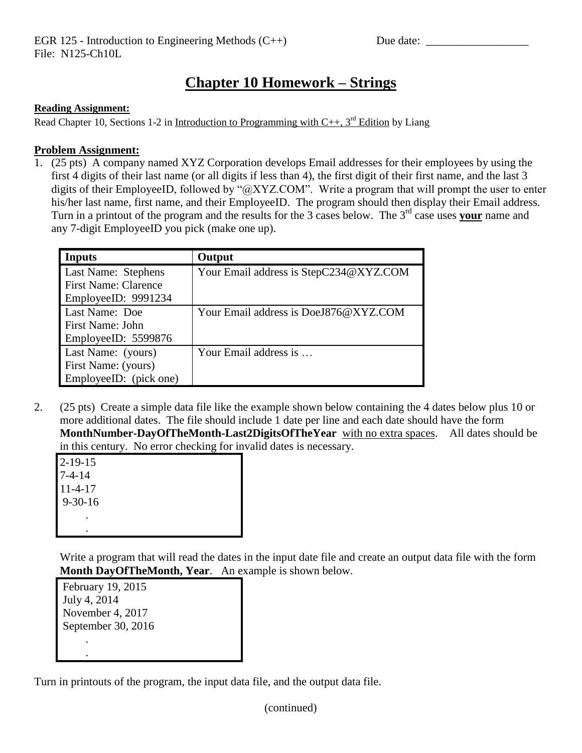## **Chapter 10 Homework – Strings**

## **Reading Assignment:**

Read Chapter 10, Sections 1-2 in Introduction to Programming with  $C_{++}$ , 3<sup>rd</sup> Edition by Liang

## **Problem Assignment:**

1. (25 pts) A company named XYZ Corporation develops Email addresses for their employees by using the first 4 digits of their last name (or all digits if less than 4), the first digit of their first name, and the last 3 digits of their EmployeeID, followed by "@XYZ.COM". Write a program that will prompt the user to enter his/her last name, first name, and their EmployeeID. The program should then display their Email address. Turn in a printout of the program and the results for the 3 cases below. The 3<sup>rd</sup> case uses your name and any 7-digit EmployeeID you pick (make one up).

| Inputs                      | Output                                 |
|-----------------------------|----------------------------------------|
| Last Name: Stephens         | Your Email address is StepC234@XYZ.COM |
| <b>First Name: Clarence</b> |                                        |
| EmployeeID: 9991234         |                                        |
| Last Name: Doe              | Your Email address is DoeJ876@XYZ.COM  |
| <b>First Name: John</b>     |                                        |
| EmployeeID: 5599876         |                                        |
| Last Name: (yours)          | Your Email address is                  |
| First Name: (yours)         |                                        |
| EmployeeID: (pick one)      |                                        |

2. (25 pts) Create a simple data file like the example shown below containing the 4 dates below plus 10 or more additional dates. The file should include 1 date per line and each date should have the form **MonthNumber-DayOfTheMonth-Last2DigitsOfTheYear** with no extra spaces. All dates should be in this century. No error checking for invalid dates is necessary.

2-19-15 7-4-14 11-4-17 9-30-16 . .

Write a program that will read the dates in the input date file and create an output data file with the form **Month DayOfTheMonth, Year**. An example is shown below.

February 19, 2015 July 4, 2014 November 4, 2017 September 30, 2016 . .

Turn in printouts of the program, the input data file, and the output data file.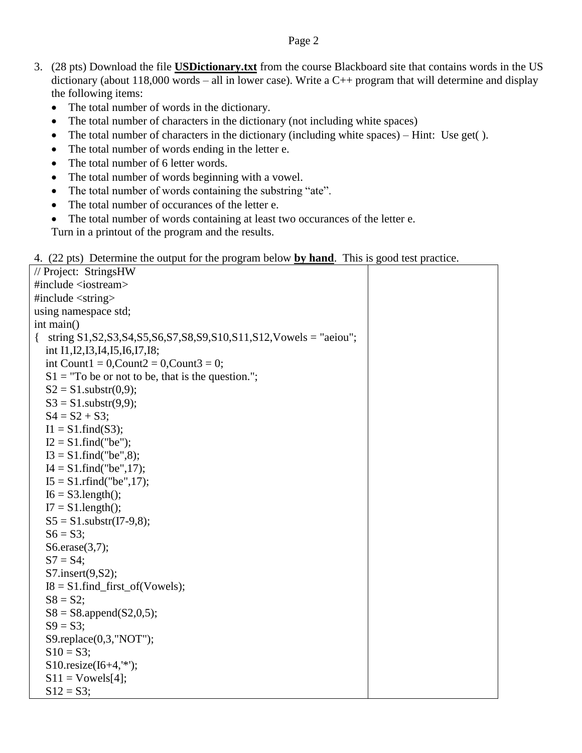## Page 2

- 3. (28 pts) Download the file **USDictionary.txt** from the course Blackboard site that contains words in the US dictionary (about 118,000 words – all in lower case). Write a  $C_{++}$  program that will determine and display the following items:
	- The total number of words in the dictionary.
	- The total number of characters in the dictionary (not including white spaces)
	- The total number of characters in the dictionary (including white spaces) Hint: Use get( ).
	- The total number of words ending in the letter e.
	- The total number of 6 letter words.
	- The total number of words beginning with a vowel.
	- The total number of words containing the substring "ate".
	- The total number of occurances of the letter e.
	- The total number of words containing at least two occurances of the letter e.

Turn in a printout of the program and the results.

|  |  |  | 4. (22 pts) Determine the output for the program below by hand. This is good test practice. |  |
|--|--|--|---------------------------------------------------------------------------------------------|--|
|  |  |  |                                                                                             |  |

| // Project: StringsHW<br>#include <iostream><br/>#include <string><br/>using namespace std;<br/>int main()<br/>string <math>S1</math>, <math>S2</math>, <math>S3</math>, <math>S4</math>, <math>S5</math>, <math>S6</math>, <math>S7</math>, <math>S8</math>, <math>S9</math>, <math>S10</math>, <math>S11</math>, <math>S12</math>, <math>Vowels = "aeiou";</math><br/><math>\left\{ \right.</math><br/>int I1, I2, I3, I4, I5, I6, I7, I8;<br/>int Count<math>1 = 0</math>, Count<math>2 = 0</math>, Count<math>3 = 0</math>;<br/><math>S1 = "To be or not to be, that is the question."</math><br/><math>S2 = S1</math>.substr(0,9);<br/><math>S3 = S1</math>.substr<math>(9,9)</math>;<br/><math>S4 = S2 + S3;</math><br/><math>I1 = S1</math>.find(S3);<br/><math>I2 = S1</math>.find("be");<br/><math>I3 = S1</math>.find("be",8);<br/><math>I4 = S1</math>.find("be",17);<br/><math>I5 = S1</math>.rfind("be",17);<br/><math>I6 = S3.length()</math>;<br/><math>I7 = S1.length</math>;<br/><math>S5 = S1</math>.substr(I7-9,8);<br/><math>S6 = S3;</math><br/><math>S6. \text{erase}(3,7);</math><br/><math>S7 = S4;</math><br/>S7.insert(9,S2);<br/><math>I8 = S1</math>.find_first_of(Vowels);<br/><math>S8 = S2;</math><br/><math>S8 = S8.append(S2,0,5);</math><br/><math>S9 = S3;</math><br/>S9.replace(0,3,"NOT");<br/><math>S10 = S3;</math><br/>S10.resize<math>(I6+4,'*)</math>;<br/><math>S11 = Vowels[4];</math><br/><math>S12 = S3;</math></string></iostream> |  |
|-----------------------------------------------------------------------------------------------------------------------------------------------------------------------------------------------------------------------------------------------------------------------------------------------------------------------------------------------------------------------------------------------------------------------------------------------------------------------------------------------------------------------------------------------------------------------------------------------------------------------------------------------------------------------------------------------------------------------------------------------------------------------------------------------------------------------------------------------------------------------------------------------------------------------------------------------------------------------------------------------------------------------------------------------------------------------------------------------------------------------------------------------------------------------------------------------------------------------------------------------------------------------------------------------------------------------------------------------------------------------------------------------------------------------------------------------------------------------------------|--|
|                                                                                                                                                                                                                                                                                                                                                                                                                                                                                                                                                                                                                                                                                                                                                                                                                                                                                                                                                                                                                                                                                                                                                                                                                                                                                                                                                                                                                                                                                   |  |
|                                                                                                                                                                                                                                                                                                                                                                                                                                                                                                                                                                                                                                                                                                                                                                                                                                                                                                                                                                                                                                                                                                                                                                                                                                                                                                                                                                                                                                                                                   |  |
|                                                                                                                                                                                                                                                                                                                                                                                                                                                                                                                                                                                                                                                                                                                                                                                                                                                                                                                                                                                                                                                                                                                                                                                                                                                                                                                                                                                                                                                                                   |  |
|                                                                                                                                                                                                                                                                                                                                                                                                                                                                                                                                                                                                                                                                                                                                                                                                                                                                                                                                                                                                                                                                                                                                                                                                                                                                                                                                                                                                                                                                                   |  |
|                                                                                                                                                                                                                                                                                                                                                                                                                                                                                                                                                                                                                                                                                                                                                                                                                                                                                                                                                                                                                                                                                                                                                                                                                                                                                                                                                                                                                                                                                   |  |
|                                                                                                                                                                                                                                                                                                                                                                                                                                                                                                                                                                                                                                                                                                                                                                                                                                                                                                                                                                                                                                                                                                                                                                                                                                                                                                                                                                                                                                                                                   |  |
|                                                                                                                                                                                                                                                                                                                                                                                                                                                                                                                                                                                                                                                                                                                                                                                                                                                                                                                                                                                                                                                                                                                                                                                                                                                                                                                                                                                                                                                                                   |  |
|                                                                                                                                                                                                                                                                                                                                                                                                                                                                                                                                                                                                                                                                                                                                                                                                                                                                                                                                                                                                                                                                                                                                                                                                                                                                                                                                                                                                                                                                                   |  |
|                                                                                                                                                                                                                                                                                                                                                                                                                                                                                                                                                                                                                                                                                                                                                                                                                                                                                                                                                                                                                                                                                                                                                                                                                                                                                                                                                                                                                                                                                   |  |
|                                                                                                                                                                                                                                                                                                                                                                                                                                                                                                                                                                                                                                                                                                                                                                                                                                                                                                                                                                                                                                                                                                                                                                                                                                                                                                                                                                                                                                                                                   |  |
|                                                                                                                                                                                                                                                                                                                                                                                                                                                                                                                                                                                                                                                                                                                                                                                                                                                                                                                                                                                                                                                                                                                                                                                                                                                                                                                                                                                                                                                                                   |  |
|                                                                                                                                                                                                                                                                                                                                                                                                                                                                                                                                                                                                                                                                                                                                                                                                                                                                                                                                                                                                                                                                                                                                                                                                                                                                                                                                                                                                                                                                                   |  |
|                                                                                                                                                                                                                                                                                                                                                                                                                                                                                                                                                                                                                                                                                                                                                                                                                                                                                                                                                                                                                                                                                                                                                                                                                                                                                                                                                                                                                                                                                   |  |
|                                                                                                                                                                                                                                                                                                                                                                                                                                                                                                                                                                                                                                                                                                                                                                                                                                                                                                                                                                                                                                                                                                                                                                                                                                                                                                                                                                                                                                                                                   |  |
|                                                                                                                                                                                                                                                                                                                                                                                                                                                                                                                                                                                                                                                                                                                                                                                                                                                                                                                                                                                                                                                                                                                                                                                                                                                                                                                                                                                                                                                                                   |  |
|                                                                                                                                                                                                                                                                                                                                                                                                                                                                                                                                                                                                                                                                                                                                                                                                                                                                                                                                                                                                                                                                                                                                                                                                                                                                                                                                                                                                                                                                                   |  |
|                                                                                                                                                                                                                                                                                                                                                                                                                                                                                                                                                                                                                                                                                                                                                                                                                                                                                                                                                                                                                                                                                                                                                                                                                                                                                                                                                                                                                                                                                   |  |
|                                                                                                                                                                                                                                                                                                                                                                                                                                                                                                                                                                                                                                                                                                                                                                                                                                                                                                                                                                                                                                                                                                                                                                                                                                                                                                                                                                                                                                                                                   |  |
|                                                                                                                                                                                                                                                                                                                                                                                                                                                                                                                                                                                                                                                                                                                                                                                                                                                                                                                                                                                                                                                                                                                                                                                                                                                                                                                                                                                                                                                                                   |  |
|                                                                                                                                                                                                                                                                                                                                                                                                                                                                                                                                                                                                                                                                                                                                                                                                                                                                                                                                                                                                                                                                                                                                                                                                                                                                                                                                                                                                                                                                                   |  |
|                                                                                                                                                                                                                                                                                                                                                                                                                                                                                                                                                                                                                                                                                                                                                                                                                                                                                                                                                                                                                                                                                                                                                                                                                                                                                                                                                                                                                                                                                   |  |
|                                                                                                                                                                                                                                                                                                                                                                                                                                                                                                                                                                                                                                                                                                                                                                                                                                                                                                                                                                                                                                                                                                                                                                                                                                                                                                                                                                                                                                                                                   |  |
|                                                                                                                                                                                                                                                                                                                                                                                                                                                                                                                                                                                                                                                                                                                                                                                                                                                                                                                                                                                                                                                                                                                                                                                                                                                                                                                                                                                                                                                                                   |  |
|                                                                                                                                                                                                                                                                                                                                                                                                                                                                                                                                                                                                                                                                                                                                                                                                                                                                                                                                                                                                                                                                                                                                                                                                                                                                                                                                                                                                                                                                                   |  |
|                                                                                                                                                                                                                                                                                                                                                                                                                                                                                                                                                                                                                                                                                                                                                                                                                                                                                                                                                                                                                                                                                                                                                                                                                                                                                                                                                                                                                                                                                   |  |
|                                                                                                                                                                                                                                                                                                                                                                                                                                                                                                                                                                                                                                                                                                                                                                                                                                                                                                                                                                                                                                                                                                                                                                                                                                                                                                                                                                                                                                                                                   |  |
|                                                                                                                                                                                                                                                                                                                                                                                                                                                                                                                                                                                                                                                                                                                                                                                                                                                                                                                                                                                                                                                                                                                                                                                                                                                                                                                                                                                                                                                                                   |  |
|                                                                                                                                                                                                                                                                                                                                                                                                                                                                                                                                                                                                                                                                                                                                                                                                                                                                                                                                                                                                                                                                                                                                                                                                                                                                                                                                                                                                                                                                                   |  |
|                                                                                                                                                                                                                                                                                                                                                                                                                                                                                                                                                                                                                                                                                                                                                                                                                                                                                                                                                                                                                                                                                                                                                                                                                                                                                                                                                                                                                                                                                   |  |
|                                                                                                                                                                                                                                                                                                                                                                                                                                                                                                                                                                                                                                                                                                                                                                                                                                                                                                                                                                                                                                                                                                                                                                                                                                                                                                                                                                                                                                                                                   |  |
|                                                                                                                                                                                                                                                                                                                                                                                                                                                                                                                                                                                                                                                                                                                                                                                                                                                                                                                                                                                                                                                                                                                                                                                                                                                                                                                                                                                                                                                                                   |  |
|                                                                                                                                                                                                                                                                                                                                                                                                                                                                                                                                                                                                                                                                                                                                                                                                                                                                                                                                                                                                                                                                                                                                                                                                                                                                                                                                                                                                                                                                                   |  |
|                                                                                                                                                                                                                                                                                                                                                                                                                                                                                                                                                                                                                                                                                                                                                                                                                                                                                                                                                                                                                                                                                                                                                                                                                                                                                                                                                                                                                                                                                   |  |